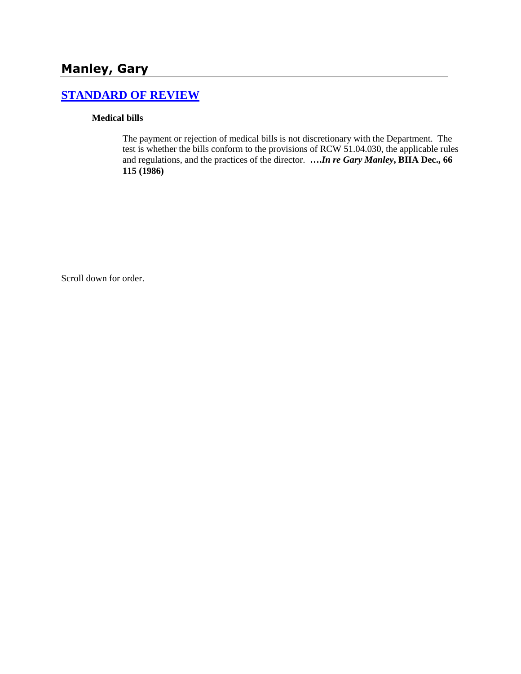# **Manley, Gary**

# **[STANDARD OF REVIEW](http://www.biia.wa.gov/SDSubjectIndex.html#STANDARD_OF_REVIEW)**

### **Medical bills**

The payment or rejection of medical bills is not discretionary with the Department. The test is whether the bills conform to the provisions of RCW 51.04.030, the applicable rules and regulations, and the practices of the director. **….***In re Gary Manley***, BIIA Dec., 66 115 (1986)** 

Scroll down for order.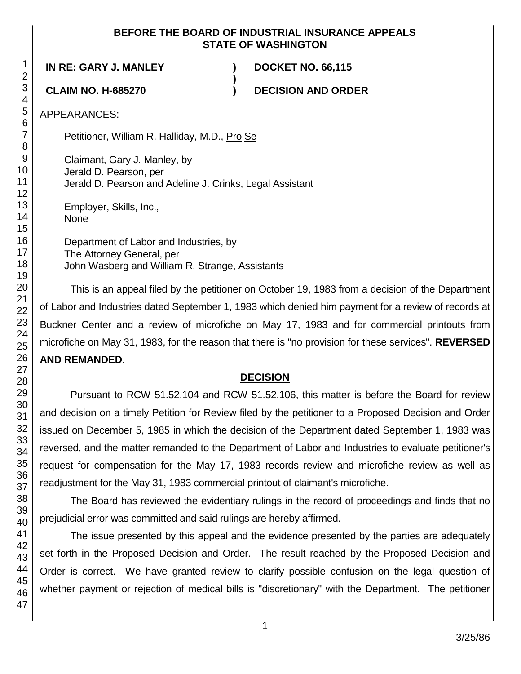### **BEFORE THE BOARD OF INDUSTRIAL INSURANCE APPEALS STATE OF WASHINGTON**

**)**

**IN RE: GARY J. MANLEY ) DOCKET NO. 66,115**

**CLAIM NO. H-685270 ) DECISION AND ORDER**

APPEARANCES:

Petitioner, William R. Halliday, M.D., Pro Se

Claimant, Gary J. Manley, by Jerald D. Pearson, per Jerald D. Pearson and Adeline J. Crinks, Legal Assistant

Employer, Skills, Inc., None

Department of Labor and Industries, by The Attorney General, per John Wasberg and William R. Strange, Assistants

This is an appeal filed by the petitioner on October 19, 1983 from a decision of the Department of Labor and Industries dated September 1, 1983 which denied him payment for a review of records at Buckner Center and a review of microfiche on May 17, 1983 and for commercial printouts from microfiche on May 31, 1983, for the reason that there is "no provision for these services". **REVERSED AND REMANDED**.

## **DECISION**

Pursuant to RCW 51.52.104 and RCW 51.52.106, this matter is before the Board for review and decision on a timely Petition for Review filed by the petitioner to a Proposed Decision and Order issued on December 5, 1985 in which the decision of the Department dated September 1, 1983 was reversed, and the matter remanded to the Department of Labor and Industries to evaluate petitioner's request for compensation for the May 17, 1983 records review and microfiche review as well as readjustment for the May 31, 1983 commercial printout of claimant's microfiche.

The Board has reviewed the evidentiary rulings in the record of proceedings and finds that no prejudicial error was committed and said rulings are hereby affirmed.

The issue presented by this appeal and the evidence presented by the parties are adequately set forth in the Proposed Decision and Order. The result reached by the Proposed Decision and Order is correct. We have granted review to clarify possible confusion on the legal question of whether payment or rejection of medical bills is "discretionary" with the Department. The petitioner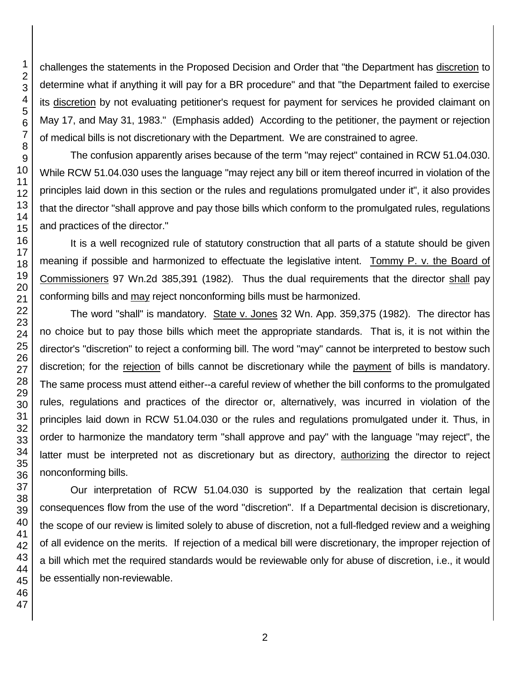challenges the statements in the Proposed Decision and Order that "the Department has discretion to determine what if anything it will pay for a BR procedure" and that "the Department failed to exercise its discretion by not evaluating petitioner's request for payment for services he provided claimant on May 17, and May 31, 1983." (Emphasis added) According to the petitioner, the payment or rejection of medical bills is not discretionary with the Department. We are constrained to agree.

The confusion apparently arises because of the term "may reject" contained in RCW 51.04.030. While RCW 51.04.030 uses the language "may reject any bill or item thereof incurred in violation of the principles laid down in this section or the rules and regulations promulgated under it", it also provides that the director "shall approve and pay those bills which conform to the promulgated rules, regulations and practices of the director."

It is a well recognized rule of statutory construction that all parts of a statute should be given meaning if possible and harmonized to effectuate the legislative intent. Tommy P. v. the Board of Commissioners 97 Wn.2d 385,391 (1982). Thus the dual requirements that the director shall pay conforming bills and may reject nonconforming bills must be harmonized.

The word "shall" is mandatory. State v. Jones 32 Wn. App. 359,375 (1982). The director has no choice but to pay those bills which meet the appropriate standards. That is, it is not within the director's "discretion" to reject a conforming bill. The word "may" cannot be interpreted to bestow such discretion; for the rejection of bills cannot be discretionary while the payment of bills is mandatory. The same process must attend either--a careful review of whether the bill conforms to the promulgated rules, regulations and practices of the director or, alternatively, was incurred in violation of the principles laid down in RCW 51.04.030 or the rules and regulations promulgated under it. Thus, in order to harmonize the mandatory term "shall approve and pay" with the language "may reject", the latter must be interpreted not as discretionary but as directory, authorizing the director to reject nonconforming bills.

Our interpretation of RCW 51.04.030 is supported by the realization that certain legal consequences flow from the use of the word "discretion". If a Departmental decision is discretionary, the scope of our review is limited solely to abuse of discretion, not a full-fledged review and a weighing of all evidence on the merits. If rejection of a medical bill were discretionary, the improper rejection of a bill which met the required standards would be reviewable only for abuse of discretion, i.e., it would be essentially non-reviewable.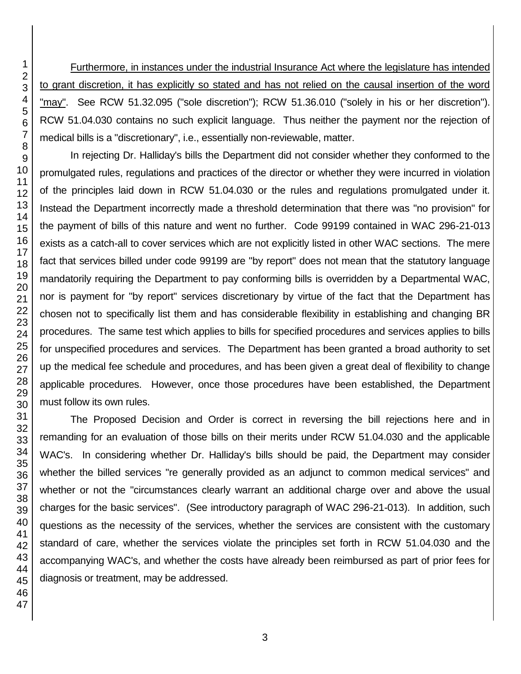Furthermore, in instances under the industrial Insurance Act where the legislature has intended to grant discretion, it has explicitly so stated and has not relied on the causal insertion of the word "may". See RCW 51.32.095 ("sole discretion"); RCW 51.36.010 ("solely in his or her discretion"). RCW 51.04.030 contains no such explicit language. Thus neither the payment nor the rejection of medical bills is a "discretionary", i.e., essentially non-reviewable, matter.

In rejecting Dr. Halliday's bills the Department did not consider whether they conformed to the promulgated rules, regulations and practices of the director or whether they were incurred in violation of the principles laid down in RCW 51.04.030 or the rules and regulations promulgated under it. Instead the Department incorrectly made a threshold determination that there was "no provision" for the payment of bills of this nature and went no further. Code 99199 contained in WAC 296-21-013 exists as a catch-all to cover services which are not explicitly listed in other WAC sections. The mere fact that services billed under code 99199 are "by report" does not mean that the statutory language mandatorily requiring the Department to pay conforming bills is overridden by a Departmental WAC, nor is payment for "by report" services discretionary by virtue of the fact that the Department has chosen not to specifically list them and has considerable flexibility in establishing and changing BR procedures. The same test which applies to bills for specified procedures and services applies to bills for unspecified procedures and services. The Department has been granted a broad authority to set up the medical fee schedule and procedures, and has been given a great deal of flexibility to change applicable procedures. However, once those procedures have been established, the Department must follow its own rules.

The Proposed Decision and Order is correct in reversing the bill rejections here and in remanding for an evaluation of those bills on their merits under RCW 51.04.030 and the applicable WAC's. In considering whether Dr. Halliday's bills should be paid, the Department may consider whether the billed services "re generally provided as an adjunct to common medical services" and whether or not the "circumstances clearly warrant an additional charge over and above the usual charges for the basic services". (See introductory paragraph of WAC 296-21-013). In addition, such questions as the necessity of the services, whether the services are consistent with the customary standard of care, whether the services violate the principles set forth in RCW 51.04.030 and the accompanying WAC's, and whether the costs have already been reimbursed as part of prior fees for diagnosis or treatment, may be addressed.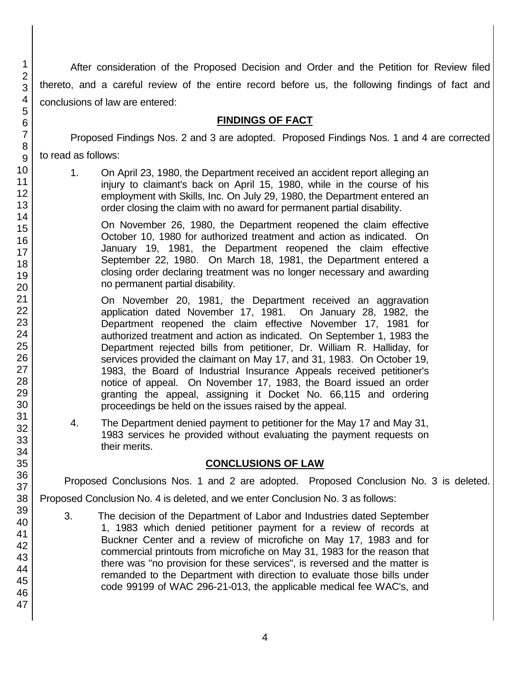After consideration of the Proposed Decision and Order and the Petition for Review filed thereto, and a careful review of the entire record before us, the following findings of fact and conclusions of law are entered:

### **FINDINGS OF FACT**

Proposed Findings Nos. 2 and 3 are adopted. Proposed Findings Nos. 1 and 4 are corrected to read as follows:

1. On April 23, 1980, the Department received an accident report alleging an injury to claimant's back on April 15, 1980, while in the course of his employment with Skills, Inc. On July 29, 1980, the Department entered an order closing the claim with no award for permanent partial disability.

On November 26, 1980, the Department reopened the claim effective October 10, 1980 for authorized treatment and action as indicated. On January 19, 1981, the Department reopened the claim effective September 22, 1980. On March 18, 1981, the Department entered a closing order declaring treatment was no longer necessary and awarding no permanent partial disability.

On November 20, 1981, the Department received an aggravation application dated November 17, 1981. On January 28, 1982, the Department reopened the claim effective November 17, 1981 for authorized treatment and action as indicated. On September 1, 1983 the Department rejected bills from petitioner, Dr. William R. Halliday, for services provided the claimant on May 17, and 31, 1983. On October 19, 1983, the Board of Industrial Insurance Appeals received petitioner's notice of appeal. On November 17, 1983, the Board issued an order granting the appeal, assigning it Docket No. 66,115 and ordering proceedings be held on the issues raised by the appeal.

4. The Department denied payment to petitioner for the May 17 and May 31, 1983 services he provided without evaluating the payment requests on their merits.

## **CONCLUSIONS OF LAW**

Proposed Conclusions Nos. 1 and 2 are adopted. Proposed Conclusion No. 3 is deleted.

Proposed Conclusion No. 4 is deleted, and we enter Conclusion No. 3 as follows:

3. The decision of the Department of Labor and Industries dated September 1, 1983 which denied petitioner payment for a review of records at Buckner Center and a review of microfiche on May 17, 1983 and for commercial printouts from microfiche on May 31, 1983 for the reason that there was "no provision for these services", is reversed and the matter is remanded to the Department with direction to evaluate those bills under code 99199 of WAC 296-21-013, the applicable medical fee WAC's, and

1